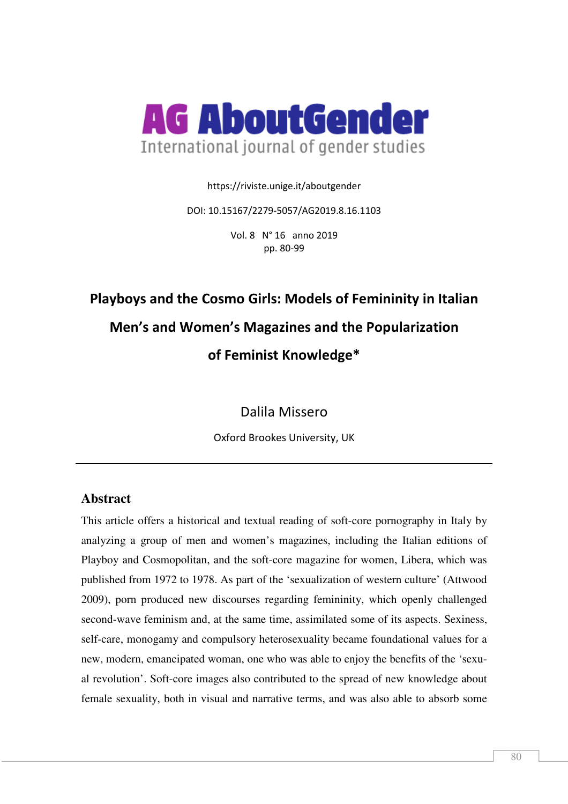

https://riviste.unige.it/aboutgender

DOI: 10.15167/2279-5057/AG2019.8.16.1103

Vol. 8 N° 16 anno 2019 pp. 80-99

# **Playboys and the Cosmo Girls: Models of Femininity in Italian Men's and Women's Magazines and the Popularization of Feminist Knowledge\***

Dalila Missero

Oxford Brookes University, UK

## **Abstract**

This article offers a historical and textual reading of soft-core pornography in Italy by analyzing a group of men and women's magazines, including the Italian editions of Playboy and Cosmopolitan, and the soft-core magazine for women, Libera, which was published from 1972 to 1978. As part of the 'sexualization of western culture' (Attwood 2009), porn produced new discourses regarding femininity, which openly challenged second-wave feminism and, at the same time, assimilated some of its aspects. Sexiness, self-care, monogamy and compulsory heterosexuality became foundational values for a new, modern, emancipated woman, one who was able to enjoy the benefits of the 'sexual revolution'. Soft-core images also contributed to the spread of new knowledge about female sexuality, both in visual and narrative terms, and was also able to absorb some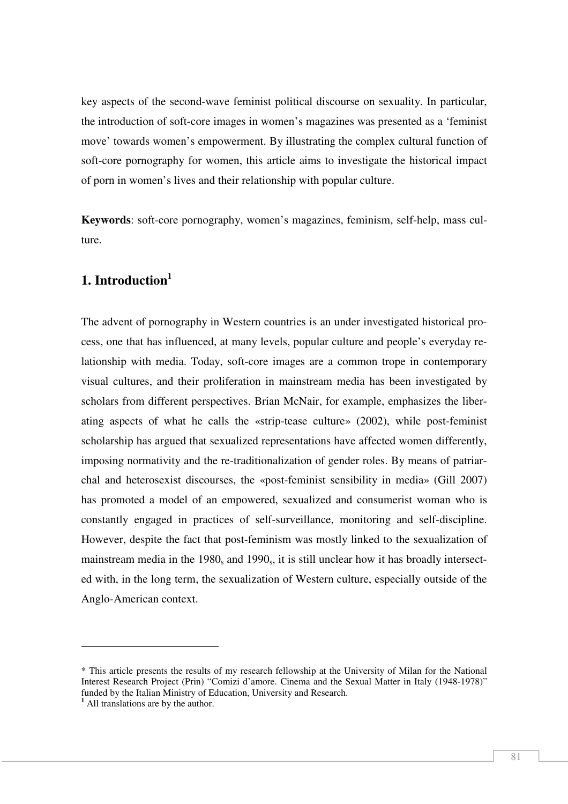key aspects of the second-wave feminist political discourse on sexuality. In particular, the introduction of soft-core images in women's magazines was presented as a 'feminist move' towards women's empowerment. By illustrating the complex cultural function of soft-core pornography for women, this article aims to investigate the historical impact of porn in women's lives and their relationship with popular culture.

**Keywords**: soft-core pornography, women's magazines, feminism, self-help, mass culture.

## **1. Introduction<sup>1</sup>**

The advent of pornography in Western countries is an under investigated historical process, one that has influenced, at many levels, popular culture and people's everyday relationship with media. Today, soft-core images are a common trope in contemporary visual cultures, and their proliferation in mainstream media has been investigated by scholars from different perspectives. Brian McNair, for example, emphasizes the liberating aspects of what he calls the «strip-tease culture» (2002), while post-feminist scholarship has argued that sexualized representations have affected women differently, imposing normativity and the re-traditionalization of gender roles. By means of patriarchal and heterosexist discourses, the «post-feminist sensibility in media» (Gill 2007) has promoted a model of an empowered, sexualized and consumerist woman who is constantly engaged in practices of self-surveillance, monitoring and self-discipline. However, despite the fact that post-feminism was mostly linked to the sexualization of mainstream media in the  $1980<sub>s</sub>$  and  $1990<sub>s</sub>$ , it is still unclear how it has broadly intersected with, in the long term, the sexualization of Western culture, especially outside of the Anglo-American context.

<sup>\*</sup> This article presents the results of my research fellowship at the University of Milan for the National Interest Research Project (Prin) "Comizi d'amore. Cinema and the Sexual Matter in Italy (1948-1978)" funded by the Italian Ministry of Education, University and Research.

<sup>&</sup>lt;sup>1</sup> All translations are by the author.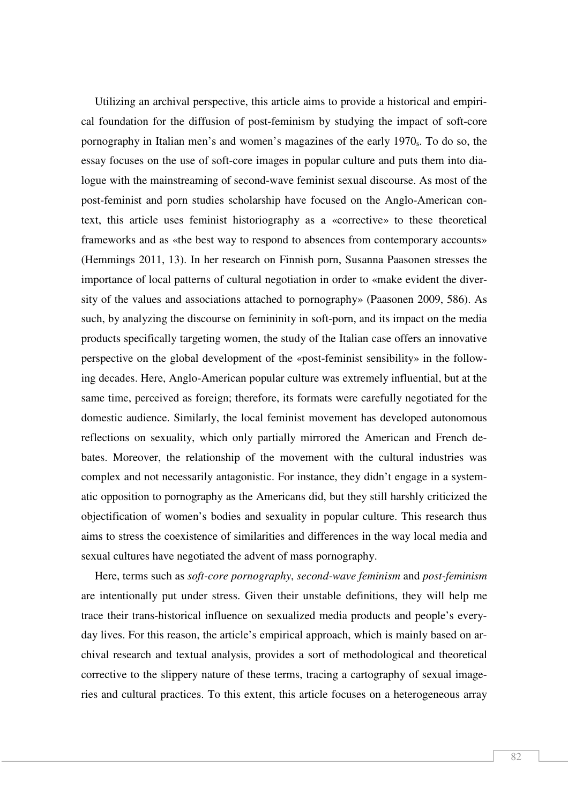Utilizing an archival perspective, this article aims to provide a historical and empirical foundation for the diffusion of post-feminism by studying the impact of soft-core pornography in Italian men's and women's magazines of the early 1970<sub>s</sub>. To do so, the essay focuses on the use of soft-core images in popular culture and puts them into dialogue with the mainstreaming of second-wave feminist sexual discourse. As most of the post-feminist and porn studies scholarship have focused on the Anglo-American context, this article uses feminist historiography as a «corrective» to these theoretical frameworks and as «the best way to respond to absences from contemporary accounts» (Hemmings 2011, 13). In her research on Finnish porn, Susanna Paasonen stresses the importance of local patterns of cultural negotiation in order to «make evident the diversity of the values and associations attached to pornography» (Paasonen 2009, 586). As such, by analyzing the discourse on femininity in soft-porn, and its impact on the media products specifically targeting women, the study of the Italian case offers an innovative perspective on the global development of the «post-feminist sensibility» in the following decades. Here, Anglo-American popular culture was extremely influential, but at the same time, perceived as foreign; therefore, its formats were carefully negotiated for the domestic audience. Similarly, the local feminist movement has developed autonomous reflections on sexuality, which only partially mirrored the American and French debates. Moreover, the relationship of the movement with the cultural industries was complex and not necessarily antagonistic. For instance, they didn't engage in a systematic opposition to pornography as the Americans did, but they still harshly criticized the objectification of women's bodies and sexuality in popular culture. This research thus aims to stress the coexistence of similarities and differences in the way local media and sexual cultures have negotiated the advent of mass pornography.

Here, terms such as *soft-core pornography*, *second-wave feminism* and *post-feminism*  are intentionally put under stress. Given their unstable definitions, they will help me trace their trans-historical influence on sexualized media products and people's everyday lives. For this reason, the article's empirical approach, which is mainly based on archival research and textual analysis, provides a sort of methodological and theoretical corrective to the slippery nature of these terms, tracing a cartography of sexual imageries and cultural practices. To this extent, this article focuses on a heterogeneous array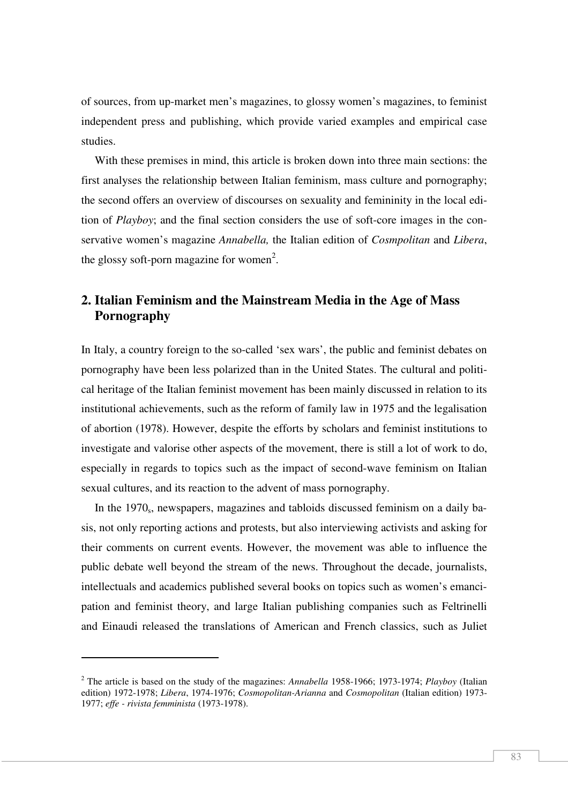of sources, from up-market men's magazines, to glossy women's magazines, to feminist independent press and publishing, which provide varied examples and empirical case studies.

With these premises in mind, this article is broken down into three main sections: the first analyses the relationship between Italian feminism, mass culture and pornography; the second offers an overview of discourses on sexuality and femininity in the local edition of *Playboy*; and the final section considers the use of soft-core images in the conservative women's magazine *Annabella,* the Italian edition of *Cosmpolitan* and *Libera*, the glossy soft-porn magazine for women<sup>2</sup>.

# **2. Italian Feminism and the Mainstream Media in the Age of Mass Pornography**

In Italy, a country foreign to the so-called 'sex wars', the public and feminist debates on pornography have been less polarized than in the United States. The cultural and political heritage of the Italian feminist movement has been mainly discussed in relation to its institutional achievements, such as the reform of family law in 1975 and the legalisation of abortion (1978). However, despite the efforts by scholars and feminist institutions to investigate and valorise other aspects of the movement, there is still a lot of work to do, especially in regards to topics such as the impact of second-wave feminism on Italian sexual cultures, and its reaction to the advent of mass pornography.

In the 1970<sub>s</sub>, newspapers, magazines and tabloids discussed feminism on a daily basis, not only reporting actions and protests, but also interviewing activists and asking for their comments on current events. However, the movement was able to influence the public debate well beyond the stream of the news. Throughout the decade, journalists, intellectuals and academics published several books on topics such as women's emancipation and feminist theory, and large Italian publishing companies such as Feltrinelli and Einaudi released the translations of American and French classics, such as Juliet

<sup>2</sup> The article is based on the study of the magazines: *Annabella* 1958-1966; 1973-1974; *Playboy* (Italian edition) 1972-1978; *Libera*, 1974-1976; *Cosmopolitan-Arianna* and *Cosmopolitan* (Italian edition) 1973- 1977; *effe - rivista femminista* (1973-1978).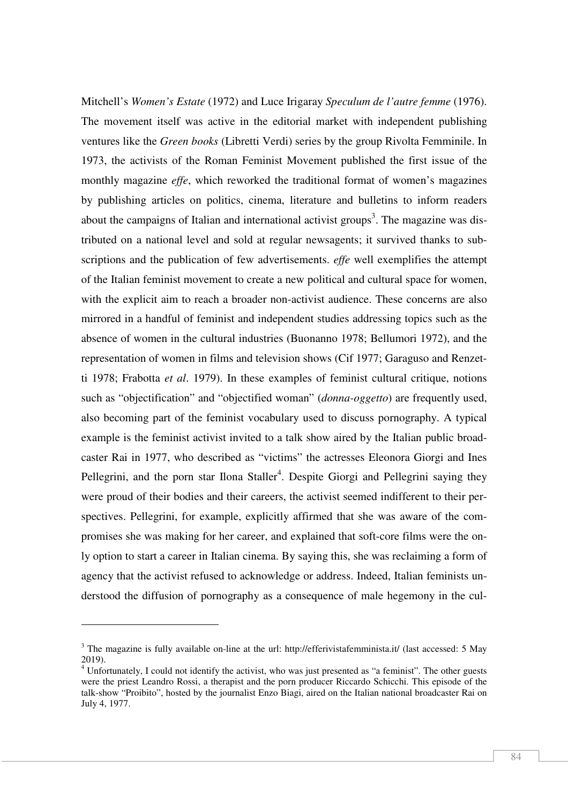Mitchell's *Women's Estate* (1972) and Luce Irigaray *Speculum de l'autre femme* (1976). The movement itself was active in the editorial market with independent publishing ventures like the *Green books* (Libretti Verdi) series by the group Rivolta Femminile. In 1973, the activists of the Roman Feminist Movement published the first issue of the monthly magazine *effe*, which reworked the traditional format of women's magazines by publishing articles on politics, cinema, literature and bulletins to inform readers about the campaigns of Italian and international activist groups<sup>3</sup>. The magazine was distributed on a national level and sold at regular newsagents; it survived thanks to subscriptions and the publication of few advertisements. *effe* well exemplifies the attempt of the Italian feminist movement to create a new political and cultural space for women, with the explicit aim to reach a broader non-activist audience. These concerns are also mirrored in a handful of feminist and independent studies addressing topics such as the absence of women in the cultural industries (Buonanno 1978; Bellumori 1972), and the representation of women in films and television shows (Cif 1977; Garaguso and Renzetti 1978; Frabotta *et al*. 1979). In these examples of feminist cultural critique, notions such as "objectification" and "objectified woman" (*donna-oggetto*) are frequently used, also becoming part of the feminist vocabulary used to discuss pornography. A typical example is the feminist activist invited to a talk show aired by the Italian public broadcaster Rai in 1977, who described as "victims" the actresses Eleonora Giorgi and Ines Pellegrini, and the porn star Ilona Staller<sup>4</sup>. Despite Giorgi and Pellegrini saying they were proud of their bodies and their careers, the activist seemed indifferent to their perspectives. Pellegrini, for example, explicitly affirmed that she was aware of the compromises she was making for her career, and explained that soft-core films were the only option to start a career in Italian cinema. By saying this, she was reclaiming a form of agency that the activist refused to acknowledge or address. Indeed, Italian feminists understood the diffusion of pornography as a consequence of male hegemony in the cul-

<sup>&</sup>lt;sup>3</sup> The magazine is fully available on-line at the url: http://efferivistafemminista.it/ (last accessed: 5 May 2019).

<sup>&</sup>lt;sup>4</sup> Unfortunately, I could not identify the activist, who was just presented as "a feminist". The other guests were the priest Leandro Rossi, a therapist and the porn producer Riccardo Schicchi. This episode of the talk-show "Proibito", hosted by the journalist Enzo Biagi, aired on the Italian national broadcaster Rai on July 4, 1977.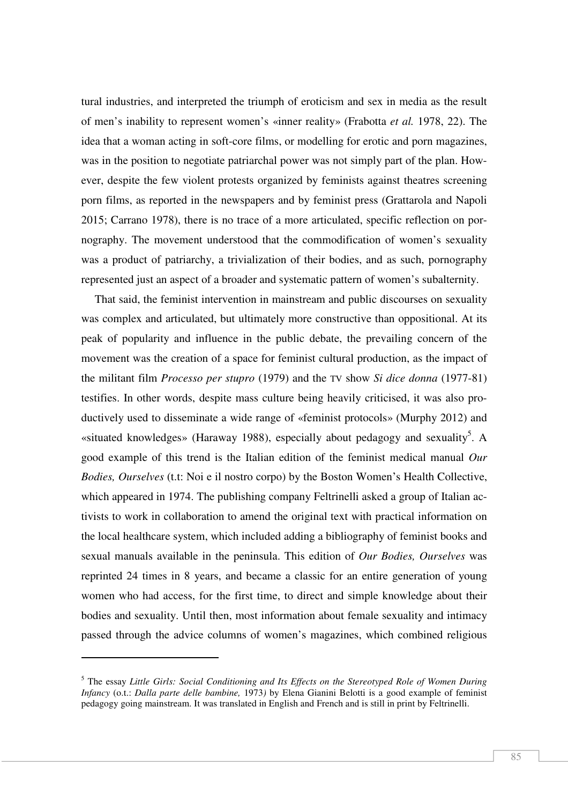tural industries, and interpreted the triumph of eroticism and sex in media as the result of men's inability to represent women's «inner reality» (Frabotta *et al.* 1978, 22). The idea that a woman acting in soft-core films, or modelling for erotic and porn magazines, was in the position to negotiate patriarchal power was not simply part of the plan. However, despite the few violent protests organized by feminists against theatres screening porn films, as reported in the newspapers and by feminist press (Grattarola and Napoli 2015; Carrano 1978), there is no trace of a more articulated, specific reflection on pornography. The movement understood that the commodification of women's sexuality was a product of patriarchy, a trivialization of their bodies, and as such, pornography represented just an aspect of a broader and systematic pattern of women's subalternity.

That said, the feminist intervention in mainstream and public discourses on sexuality was complex and articulated, but ultimately more constructive than oppositional. At its peak of popularity and influence in the public debate, the prevailing concern of the movement was the creation of a space for feminist cultural production, as the impact of the militant film *Processo per stupro* (1979) and the TV show *Si dice donna* (1977-81) testifies. In other words, despite mass culture being heavily criticised, it was also productively used to disseminate a wide range of «feminist protocols» (Murphy 2012) and «situated knowledges» (Haraway 1988), especially about pedagogy and sexuality<sup>5</sup>. A good example of this trend is the Italian edition of the feminist medical manual *Our Bodies, Ourselves* (t.t: Noi e il nostro corpo) by the Boston Women's Health Collective, which appeared in 1974. The publishing company Feltrinelli asked a group of Italian activists to work in collaboration to amend the original text with practical information on the local healthcare system, which included adding a bibliography of feminist books and sexual manuals available in the peninsula. This edition of *Our Bodies, Ourselves* was reprinted 24 times in 8 years, and became a classic for an entire generation of young women who had access, for the first time, to direct and simple knowledge about their bodies and sexuality. Until then, most information about female sexuality and intimacy passed through the advice columns of women's magazines, which combined religious

<sup>5</sup> The essay *Little Girls: Social Conditioning and Its Effects on the Stereotyped Role of Women During Infancy* (o.t.: *Dalla parte delle bambine,* 1973*)* by Elena Gianini Belotti is a good example of feminist pedagogy going mainstream. It was translated in English and French and is still in print by Feltrinelli.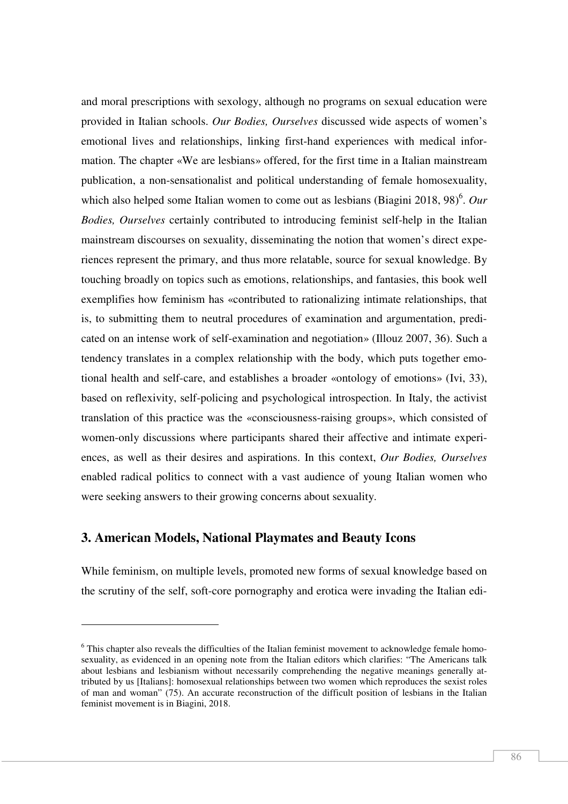and moral prescriptions with sexology, although no programs on sexual education were provided in Italian schools. *Our Bodies, Ourselves* discussed wide aspects of women's emotional lives and relationships, linking first-hand experiences with medical information. The chapter «We are lesbians» offered, for the first time in a Italian mainstream publication, a non-sensationalist and political understanding of female homosexuality, which also helped some Italian women to come out as lesbians (Biagini 2018, 98)<sup>6</sup>. Our *Bodies, Ourselves* certainly contributed to introducing feminist self-help in the Italian mainstream discourses on sexuality, disseminating the notion that women's direct experiences represent the primary, and thus more relatable, source for sexual knowledge. By touching broadly on topics such as emotions, relationships, and fantasies, this book well exemplifies how feminism has «contributed to rationalizing intimate relationships, that is, to submitting them to neutral procedures of examination and argumentation, predicated on an intense work of self-examination and negotiation» (Illouz 2007, 36). Such a tendency translates in a complex relationship with the body, which puts together emotional health and self-care, and establishes a broader «ontology of emotions» (Ivi, 33), based on reflexivity, self-policing and psychological introspection. In Italy, the activist translation of this practice was the «consciousness-raising groups», which consisted of women-only discussions where participants shared their affective and intimate experiences, as well as their desires and aspirations. In this context, *Our Bodies, Ourselves*  enabled radical politics to connect with a vast audience of young Italian women who were seeking answers to their growing concerns about sexuality.

## **3. American Models, National Playmates and Beauty Icons**

l

While feminism, on multiple levels, promoted new forms of sexual knowledge based on the scrutiny of the self, soft-core pornography and erotica were invading the Italian edi-

<sup>&</sup>lt;sup>6</sup> This chapter also reveals the difficulties of the Italian feminist movement to acknowledge female homosexuality, as evidenced in an opening note from the Italian editors which clarifies: "The Americans talk about lesbians and lesbianism without necessarily comprehending the negative meanings generally attributed by us [Italians]: homosexual relationships between two women which reproduces the sexist roles of man and woman" (75). An accurate reconstruction of the difficult position of lesbians in the Italian feminist movement is in Biagini, 2018.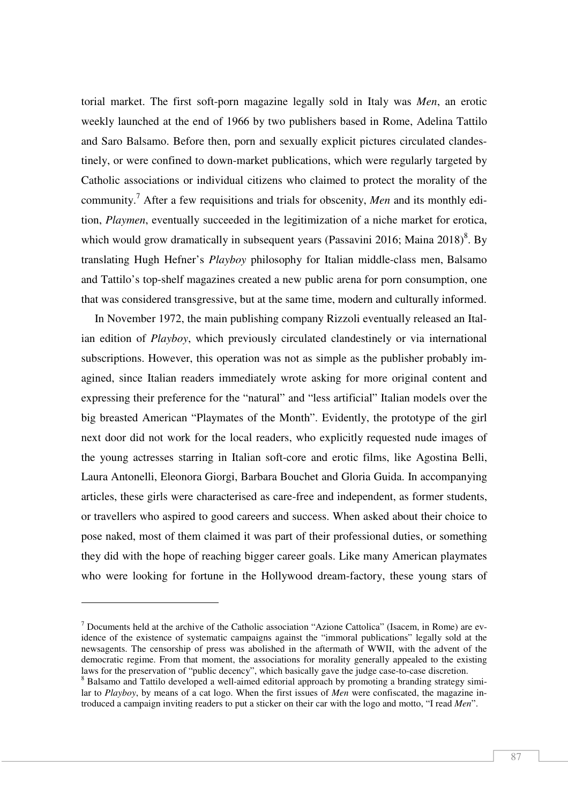torial market. The first soft-porn magazine legally sold in Italy was *Men*, an erotic weekly launched at the end of 1966 by two publishers based in Rome, Adelina Tattilo and Saro Balsamo. Before then, porn and sexually explicit pictures circulated clandestinely, or were confined to down-market publications, which were regularly targeted by Catholic associations or individual citizens who claimed to protect the morality of the community.<sup>7</sup> After a few requisitions and trials for obscenity, *Men* and its monthly edition, *Playmen*, eventually succeeded in the legitimization of a niche market for erotica, which would grow dramatically in subsequent years (Passavini 2016; Maina  $2018$ )<sup>8</sup>. By translating Hugh Hefner's *Playboy* philosophy for Italian middle-class men, Balsamo and Tattilo's top-shelf magazines created a new public arena for porn consumption, one that was considered transgressive, but at the same time, modern and culturally informed.

In November 1972, the main publishing company Rizzoli eventually released an Italian edition of *Playboy*, which previously circulated clandestinely or via international subscriptions. However, this operation was not as simple as the publisher probably imagined, since Italian readers immediately wrote asking for more original content and expressing their preference for the "natural" and "less artificial" Italian models over the big breasted American "Playmates of the Month". Evidently, the prototype of the girl next door did not work for the local readers, who explicitly requested nude images of the young actresses starring in Italian soft-core and erotic films, like Agostina Belli, Laura Antonelli, Eleonora Giorgi, Barbara Bouchet and Gloria Guida. In accompanying articles, these girls were characterised as care-free and independent, as former students, or travellers who aspired to good careers and success. When asked about their choice to pose naked, most of them claimed it was part of their professional duties, or something they did with the hope of reaching bigger career goals. Like many American playmates who were looking for fortune in the Hollywood dream-factory, these young stars of

 $<sup>7</sup>$  Documents held at the archive of the Catholic association "Azione Cattolica" (Isacem, in Rome) are ev-</sup> idence of the existence of systematic campaigns against the "immoral publications" legally sold at the newsagents. The censorship of press was abolished in the aftermath of WWII, with the advent of the democratic regime. From that moment, the associations for morality generally appealed to the existing laws for the preservation of "public decency", which basically gave the judge case-to-case discretion. <sup>8</sup> Balsamo and Tattilo developed a well-aimed editorial approach by promoting a branding strategy simi-

lar to *Playboy*, by means of a cat logo. When the first issues of *Men* were confiscated, the magazine introduced a campaign inviting readers to put a sticker on their car with the logo and motto, "I read *Men*".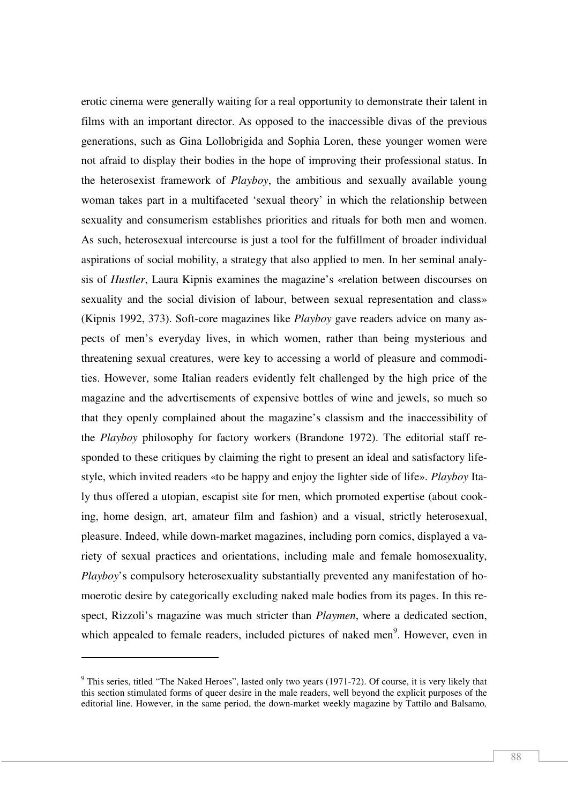erotic cinema were generally waiting for a real opportunity to demonstrate their talent in films with an important director. As opposed to the inaccessible divas of the previous generations, such as Gina Lollobrigida and Sophia Loren, these younger women were not afraid to display their bodies in the hope of improving their professional status. In the heterosexist framework of *Playboy*, the ambitious and sexually available young woman takes part in a multifaceted 'sexual theory' in which the relationship between sexuality and consumerism establishes priorities and rituals for both men and women. As such, heterosexual intercourse is just a tool for the fulfillment of broader individual aspirations of social mobility, a strategy that also applied to men. In her seminal analysis of *Hustler*, Laura Kipnis examines the magazine's «relation between discourses on sexuality and the social division of labour, between sexual representation and class» (Kipnis 1992, 373). Soft-core magazines like *Playboy* gave readers advice on many aspects of men's everyday lives, in which women, rather than being mysterious and threatening sexual creatures, were key to accessing a world of pleasure and commodities. However, some Italian readers evidently felt challenged by the high price of the magazine and the advertisements of expensive bottles of wine and jewels, so much so that they openly complained about the magazine's classism and the inaccessibility of the *Playboy* philosophy for factory workers (Brandone 1972). The editorial staff responded to these critiques by claiming the right to present an ideal and satisfactory lifestyle, which invited readers «to be happy and enjoy the lighter side of life». *Playboy* Italy thus offered a utopian, escapist site for men, which promoted expertise (about cooking, home design, art, amateur film and fashion) and a visual, strictly heterosexual, pleasure. Indeed, while down-market magazines, including porn comics, displayed a variety of sexual practices and orientations, including male and female homosexuality, *Playboy*'s compulsory heterosexuality substantially prevented any manifestation of homoerotic desire by categorically excluding naked male bodies from its pages. In this respect, Rizzoli's magazine was much stricter than *Playmen*, where a dedicated section, which appealed to female readers, included pictures of naked men<sup>9</sup>. However, even in

<sup>&</sup>lt;sup>9</sup> This series, titled "The Naked Heroes", lasted only two years (1971-72). Of course, it is very likely that this section stimulated forms of queer desire in the male readers, well beyond the explicit purposes of the editorial line. However, in the same period, the down-market weekly magazine by Tattilo and Balsamo*,*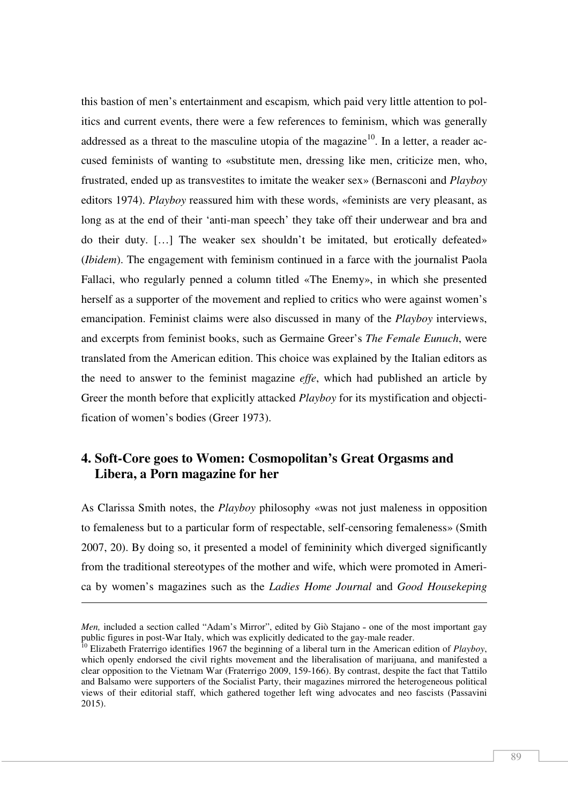this bastion of men's entertainment and escapism*,* which paid very little attention to politics and current events, there were a few references to feminism, which was generally addressed as a threat to the masculine utopia of the magazine<sup>10</sup>. In a letter, a reader accused feminists of wanting to «substitute men, dressing like men, criticize men, who, frustrated, ended up as transvestites to imitate the weaker sex» (Bernasconi and *Playboy* editors 1974). *Playboy* reassured him with these words, «feminists are very pleasant, as long as at the end of their 'anti-man speech' they take off their underwear and bra and do their duty. […] The weaker sex shouldn't be imitated, but erotically defeated» (*Ibidem*). The engagement with feminism continued in a farce with the journalist Paola Fallaci, who regularly penned a column titled «The Enemy», in which she presented herself as a supporter of the movement and replied to critics who were against women's emancipation. Feminist claims were also discussed in many of the *Playboy* interviews, and excerpts from feminist books, such as Germaine Greer's *The Female Eunuch*, were translated from the American edition. This choice was explained by the Italian editors as the need to answer to the feminist magazine *effe*, which had published an article by Greer the month before that explicitly attacked *Playboy* for its mystification and objectification of women's bodies (Greer 1973).

## **4. Soft-Core goes to Women: Cosmopolitan's Great Orgasms and Libera, a Porn magazine for her**

As Clarissa Smith notes, the *Playboy* philosophy «was not just maleness in opposition to femaleness but to a particular form of respectable, self-censoring femaleness» (Smith 2007, 20). By doing so, it presented a model of femininity which diverged significantly from the traditional stereotypes of the mother and wife, which were promoted in America by women's magazines such as the *Ladies Home Journal* and *Good Housekeping* 

<u>.</u>

*Men,* included a section called "Adam's Mirror", edited by Giò Stajano - one of the most important gay public figures in post-War Italy, which was explicitly dedicated to the gay-male reader.

<sup>&</sup>lt;sup>10</sup> Elizabeth Fraterrigo identifies 1967 the beginning of a liberal turn in the American edition of *Playboy*, which openly endorsed the civil rights movement and the liberalisation of marijuana, and manifested a clear opposition to the Vietnam War (Fraterrigo 2009, 159-166). By contrast, despite the fact that Tattilo and Balsamo were supporters of the Socialist Party, their magazines mirrored the heterogeneous political views of their editorial staff, which gathered together left wing advocates and neo fascists (Passavini 2015).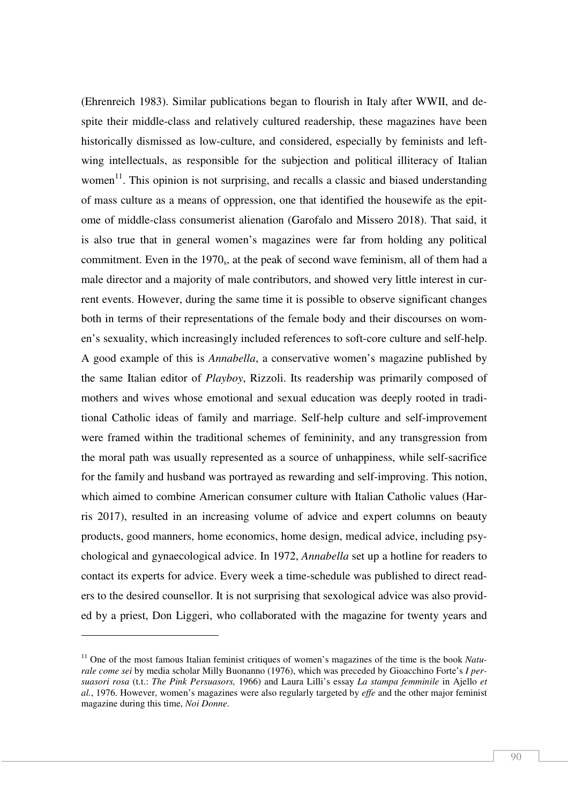(Ehrenreich 1983). Similar publications began to flourish in Italy after WWII, and despite their middle-class and relatively cultured readership, these magazines have been historically dismissed as low-culture, and considered, especially by feminists and leftwing intellectuals, as responsible for the subjection and political illiteracy of Italian women<sup>11</sup>. This opinion is not surprising, and recalls a classic and biased understanding of mass culture as a means of oppression, one that identified the housewife as the epitome of middle-class consumerist alienation (Garofalo and Missero 2018). That said, it is also true that in general women's magazines were far from holding any political commitment. Even in the  $1970<sub>s</sub>$ , at the peak of second wave feminism, all of them had a male director and a majority of male contributors, and showed very little interest in current events. However, during the same time it is possible to observe significant changes both in terms of their representations of the female body and their discourses on women's sexuality, which increasingly included references to soft-core culture and self-help. A good example of this is *Annabella*, a conservative women's magazine published by the same Italian editor of *Playboy*, Rizzoli. Its readership was primarily composed of mothers and wives whose emotional and sexual education was deeply rooted in traditional Catholic ideas of family and marriage. Self-help culture and self-improvement were framed within the traditional schemes of femininity, and any transgression from the moral path was usually represented as a source of unhappiness, while self-sacrifice for the family and husband was portrayed as rewarding and self-improving. This notion, which aimed to combine American consumer culture with Italian Catholic values (Harris 2017), resulted in an increasing volume of advice and expert columns on beauty products, good manners, home economics, home design, medical advice, including psychological and gynaecological advice. In 1972, *Annabella* set up a hotline for readers to contact its experts for advice. Every week a time-schedule was published to direct readers to the desired counsellor. It is not surprising that sexological advice was also provided by a priest, Don Liggeri, who collaborated with the magazine for twenty years and

<sup>&</sup>lt;sup>11</sup> One of the most famous Italian feminist critiques of women's magazines of the time is the book *Naturale come sei* by media scholar Milly Buonanno (1976), which was preceded by Gioacchino Forte's *I persuasori rosa* (t.t.: *The Pink Persuasors,* 1966) and Laura Lilli's essay *La stampa femminile* in Ajello *et al.*, 1976. However, women's magazines were also regularly targeted by *effe* and the other major feminist magazine during this time, *Noi Donne*.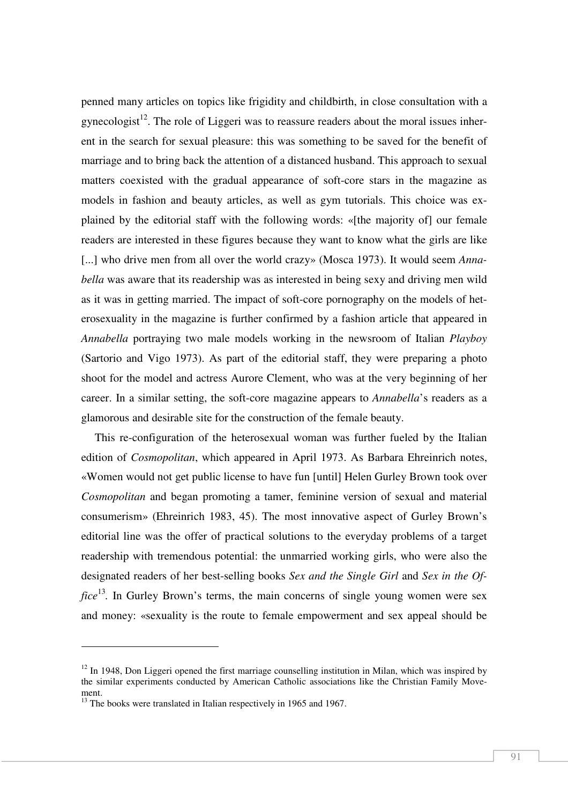penned many articles on topics like frigidity and childbirth, in close consultation with a gynecologist<sup>12</sup>. The role of Liggeri was to reassure readers about the moral issues inherent in the search for sexual pleasure: this was something to be saved for the benefit of marriage and to bring back the attention of a distanced husband. This approach to sexual matters coexisted with the gradual appearance of soft-core stars in the magazine as models in fashion and beauty articles, as well as gym tutorials. This choice was explained by the editorial staff with the following words: «[the majority of] our female readers are interested in these figures because they want to know what the girls are like [...] who drive men from all over the world crazy» (Mosca 1973). It would seem *Annabella* was aware that its readership was as interested in being sexy and driving men wild as it was in getting married. The impact of soft-core pornography on the models of heterosexuality in the magazine is further confirmed by a fashion article that appeared in *Annabella* portraying two male models working in the newsroom of Italian *Playboy* (Sartorio and Vigo 1973). As part of the editorial staff, they were preparing a photo shoot for the model and actress Aurore Clement, who was at the very beginning of her career. In a similar setting, the soft-core magazine appears to *Annabella*'s readers as a glamorous and desirable site for the construction of the female beauty.

This re-configuration of the heterosexual woman was further fueled by the Italian edition of *Cosmopolitan*, which appeared in April 1973. As Barbara Ehreinrich notes, «Women would not get public license to have fun [until] Helen Gurley Brown took over *Cosmopolitan* and began promoting a tamer, feminine version of sexual and material consumerism» (Ehreinrich 1983, 45). The most innovative aspect of Gurley Brown's editorial line was the offer of practical solutions to the everyday problems of a target readership with tremendous potential: the unmarried working girls, who were also the designated readers of her best-selling books *Sex and the Single Girl* and *Sex in the Office*<sup>13</sup>. In Gurley Brown's terms, the main concerns of single young women were sex and money: «sexuality is the route to female empowerment and sex appeal should be

 $12 \text{ In } 1948$ , Don Liggeri opened the first marriage counselling institution in Milan, which was inspired by the similar experiments conducted by American Catholic associations like the Christian Family Movement.

 $13$  The books were translated in Italian respectively in 1965 and 1967.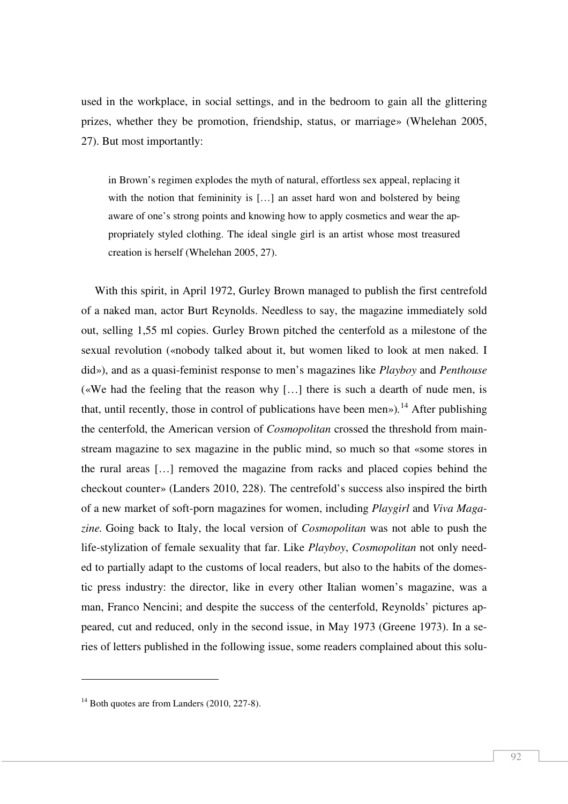used in the workplace, in social settings, and in the bedroom to gain all the glittering prizes, whether they be promotion, friendship, status, or marriage» (Whelehan 2005, 27). But most importantly:

in Brown's regimen explodes the myth of natural, effortless sex appeal, replacing it with the notion that femininity is [...] an asset hard won and bolstered by being aware of one's strong points and knowing how to apply cosmetics and wear the appropriately styled clothing. The ideal single girl is an artist whose most treasured creation is herself (Whelehan 2005, 27).

With this spirit, in April 1972, Gurley Brown managed to publish the first centrefold of a naked man, actor Burt Reynolds. Needless to say, the magazine immediately sold out, selling 1,55 ml copies. Gurley Brown pitched the centerfold as a milestone of the sexual revolution («nobody talked about it, but women liked to look at men naked. I did»), and as a quasi-feminist response to men's magazines like *Playboy* and *Penthouse*  («We had the feeling that the reason why […] there is such a dearth of nude men, is that, until recently, those in control of publications have been men»)*.* <sup>14</sup> After publishing the centerfold, the American version of *Cosmopolitan* crossed the threshold from mainstream magazine to sex magazine in the public mind, so much so that «some stores in the rural areas […] removed the magazine from racks and placed copies behind the checkout counter» (Landers 2010, 228). The centrefold's success also inspired the birth of a new market of soft-porn magazines for women, including *Playgirl* and *Viva Magazine.* Going back to Italy, the local version of *Cosmopolitan* was not able to push the life-stylization of female sexuality that far. Like *Playboy*, *Cosmopolitan* not only needed to partially adapt to the customs of local readers, but also to the habits of the domestic press industry: the director, like in every other Italian women's magazine, was a man, Franco Nencini; and despite the success of the centerfold, Reynolds' pictures appeared, cut and reduced, only in the second issue, in May 1973 (Greene 1973). In a series of letters published in the following issue, some readers complained about this solu-

 $14$  Both quotes are from Landers (2010, 227-8).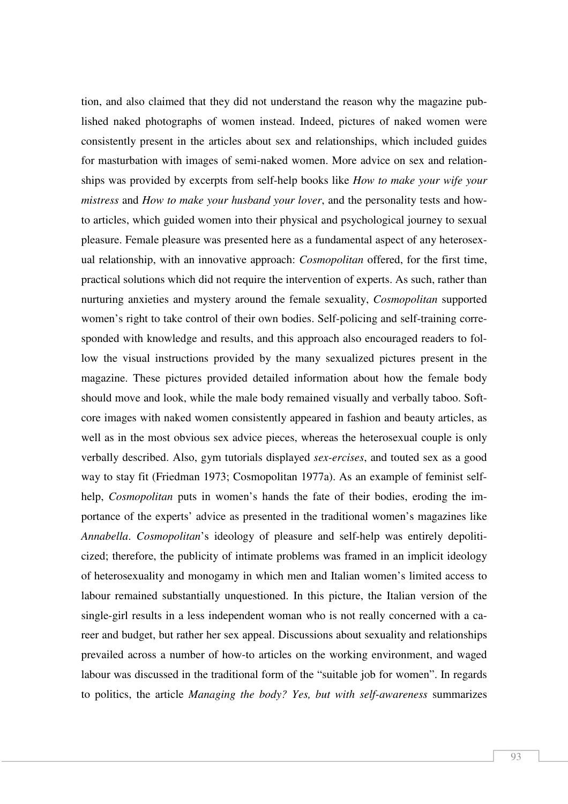tion, and also claimed that they did not understand the reason why the magazine published naked photographs of women instead. Indeed, pictures of naked women were consistently present in the articles about sex and relationships, which included guides for masturbation with images of semi-naked women. More advice on sex and relationships was provided by excerpts from self-help books like *How to make your wife your mistress* and *How to make your husband your lover*, and the personality tests and howto articles, which guided women into their physical and psychological journey to sexual pleasure. Female pleasure was presented here as a fundamental aspect of any heterosexual relationship, with an innovative approach: *Cosmopolitan* offered, for the first time, practical solutions which did not require the intervention of experts. As such, rather than nurturing anxieties and mystery around the female sexuality, *Cosmopolitan* supported women's right to take control of their own bodies. Self-policing and self-training corresponded with knowledge and results, and this approach also encouraged readers to follow the visual instructions provided by the many sexualized pictures present in the magazine. These pictures provided detailed information about how the female body should move and look, while the male body remained visually and verbally taboo. Softcore images with naked women consistently appeared in fashion and beauty articles, as well as in the most obvious sex advice pieces, whereas the heterosexual couple is only verbally described. Also, gym tutorials displayed *sex-ercises*, and touted sex as a good way to stay fit (Friedman 1973; Cosmopolitan 1977a). As an example of feminist selfhelp, *Cosmopolitan* puts in women's hands the fate of their bodies, eroding the importance of the experts' advice as presented in the traditional women's magazines like *Annabella*. *Cosmopolitan*'s ideology of pleasure and self-help was entirely depoliticized; therefore, the publicity of intimate problems was framed in an implicit ideology of heterosexuality and monogamy in which men and Italian women's limited access to labour remained substantially unquestioned. In this picture, the Italian version of the single-girl results in a less independent woman who is not really concerned with a career and budget, but rather her sex appeal. Discussions about sexuality and relationships prevailed across a number of how-to articles on the working environment, and waged labour was discussed in the traditional form of the "suitable job for women". In regards to politics, the article *Managing the body? Yes, but with self-awareness* summarizes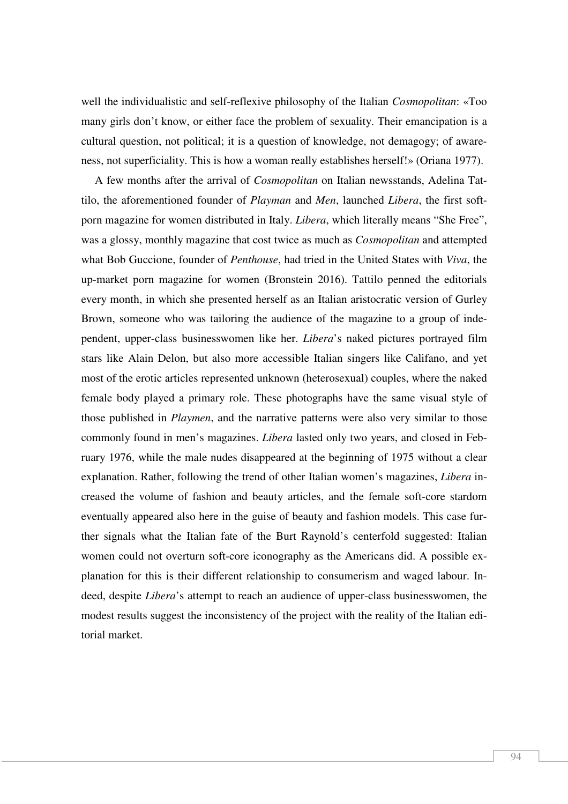well the individualistic and self-reflexive philosophy of the Italian *Cosmopolitan*: «Too many girls don't know, or either face the problem of sexuality. Their emancipation is a cultural question, not political; it is a question of knowledge, not demagogy; of awareness, not superficiality. This is how a woman really establishes herself!» (Oriana 1977).

A few months after the arrival of *Cosmopolitan* on Italian newsstands, Adelina Tattilo, the aforementioned founder of *Playman* and *Men*, launched *Libera*, the first softporn magazine for women distributed in Italy. *Libera*, which literally means "She Free", was a glossy, monthly magazine that cost twice as much as *Cosmopolitan* and attempted what Bob Guccione, founder of *Penthouse*, had tried in the United States with *Viva*, the up-market porn magazine for women (Bronstein 2016). Tattilo penned the editorials every month, in which she presented herself as an Italian aristocratic version of Gurley Brown, someone who was tailoring the audience of the magazine to a group of independent, upper-class businesswomen like her. *Libera*'s naked pictures portrayed film stars like Alain Delon, but also more accessible Italian singers like Califano, and yet most of the erotic articles represented unknown (heterosexual) couples, where the naked female body played a primary role. These photographs have the same visual style of those published in *Playmen*, and the narrative patterns were also very similar to those commonly found in men's magazines. *Libera* lasted only two years, and closed in February 1976, while the male nudes disappeared at the beginning of 1975 without a clear explanation. Rather, following the trend of other Italian women's magazines, *Libera* increased the volume of fashion and beauty articles, and the female soft-core stardom eventually appeared also here in the guise of beauty and fashion models. This case further signals what the Italian fate of the Burt Raynold's centerfold suggested: Italian women could not overturn soft-core iconography as the Americans did. A possible explanation for this is their different relationship to consumerism and waged labour. Indeed, despite *Libera*'s attempt to reach an audience of upper-class businesswomen, the modest results suggest the inconsistency of the project with the reality of the Italian editorial market.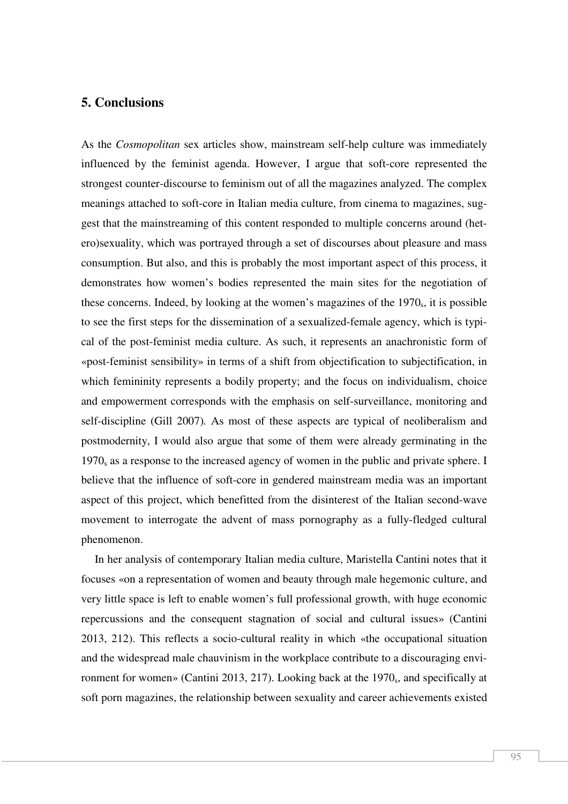#### **5. Conclusions**

As the *Cosmopolitan* sex articles show, mainstream self-help culture was immediately influenced by the feminist agenda. However, I argue that soft-core represented the strongest counter-discourse to feminism out of all the magazines analyzed. The complex meanings attached to soft-core in Italian media culture, from cinema to magazines, suggest that the mainstreaming of this content responded to multiple concerns around (hetero)sexuality, which was portrayed through a set of discourses about pleasure and mass consumption. But also, and this is probably the most important aspect of this process, it demonstrates how women's bodies represented the main sites for the negotiation of these concerns. Indeed, by looking at the women's magazines of the  $1970<sub>s</sub>$ , it is possible to see the first steps for the dissemination of a sexualized-female agency, which is typical of the post-feminist media culture. As such, it represents an anachronistic form of «post-feminist sensibility» in terms of a shift from objectification to subjectification, in which femininity represents a bodily property; and the focus on individualism, choice and empowerment corresponds with the emphasis on self-surveillance, monitoring and self-discipline (Gill 2007)*.* As most of these aspects are typical of neoliberalism and postmodernity, I would also argue that some of them were already germinating in the 1970s as a response to the increased agency of women in the public and private sphere. I believe that the influence of soft-core in gendered mainstream media was an important aspect of this project, which benefitted from the disinterest of the Italian second-wave movement to interrogate the advent of mass pornography as a fully-fledged cultural phenomenon.

In her analysis of contemporary Italian media culture, Maristella Cantini notes that it focuses «on a representation of women and beauty through male hegemonic culture, and very little space is left to enable women's full professional growth, with huge economic repercussions and the consequent stagnation of social and cultural issues» (Cantini 2013, 212). This reflects a socio-cultural reality in which «the occupational situation and the widespread male chauvinism in the workplace contribute to a discouraging environment for women» (Cantini 2013, 217). Looking back at the 1970<sub>s</sub>, and specifically at soft porn magazines, the relationship between sexuality and career achievements existed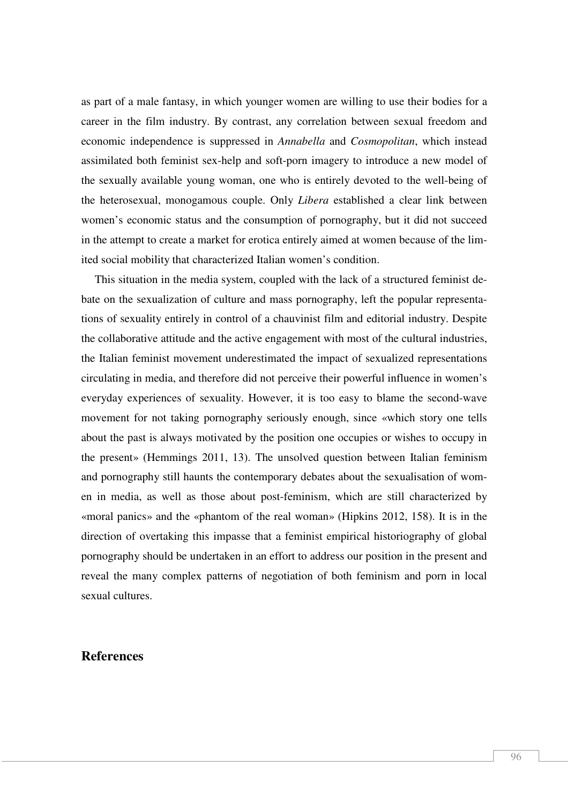as part of a male fantasy, in which younger women are willing to use their bodies for a career in the film industry. By contrast, any correlation between sexual freedom and economic independence is suppressed in *Annabella* and *Cosmopolitan*, which instead assimilated both feminist sex-help and soft-porn imagery to introduce a new model of the sexually available young woman, one who is entirely devoted to the well-being of the heterosexual, monogamous couple. Only *Libera* established a clear link between women's economic status and the consumption of pornography, but it did not succeed in the attempt to create a market for erotica entirely aimed at women because of the limited social mobility that characterized Italian women's condition.

This situation in the media system, coupled with the lack of a structured feminist debate on the sexualization of culture and mass pornography, left the popular representations of sexuality entirely in control of a chauvinist film and editorial industry. Despite the collaborative attitude and the active engagement with most of the cultural industries, the Italian feminist movement underestimated the impact of sexualized representations circulating in media, and therefore did not perceive their powerful influence in women's everyday experiences of sexuality. However, it is too easy to blame the second-wave movement for not taking pornography seriously enough, since «which story one tells about the past is always motivated by the position one occupies or wishes to occupy in the present» (Hemmings 2011, 13). The unsolved question between Italian feminism and pornography still haunts the contemporary debates about the sexualisation of women in media, as well as those about post-feminism, which are still characterized by «moral panics» and the «phantom of the real woman» (Hipkins 2012, 158). It is in the direction of overtaking this impasse that a feminist empirical historiography of global pornography should be undertaken in an effort to address our position in the present and reveal the many complex patterns of negotiation of both feminism and porn in local sexual cultures.

#### **References**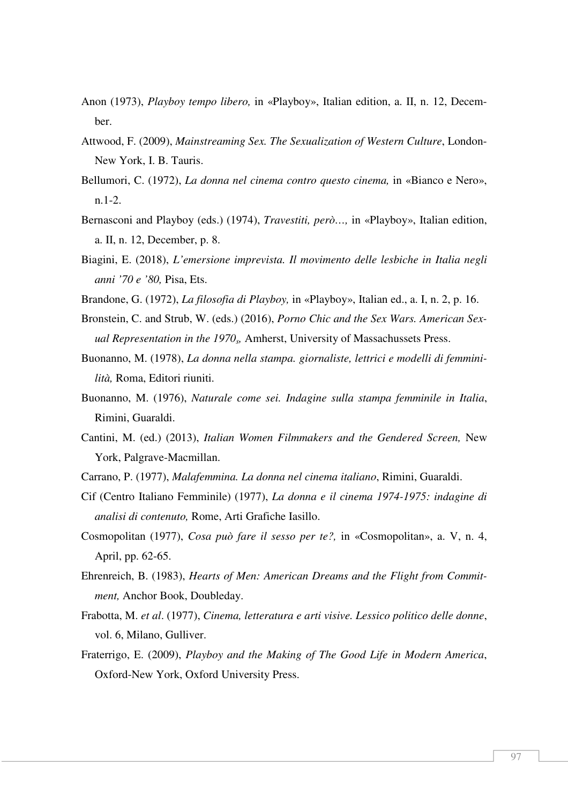- Anon (1973), *Playboy tempo libero,* in «Playboy», Italian edition, a. II, n. 12, December.
- Attwood, F. (2009), *Mainstreaming Sex. The Sexualization of Western Culture*, London-New York, I. B. Tauris.
- Bellumori, C. (1972), *La donna nel cinema contro questo cinema,* in «Bianco e Nero», n.1-2.
- Bernasconi and Playboy (eds.) (1974), *Travestiti, però…,* in «Playboy», Italian edition, a. II, n. 12, December, p. 8.
- Biagini, E. (2018), *L'emersione imprevista. Il movimento delle lesbiche in Italia negli anni '70 e '80,* Pisa, Ets.
- Brandone, G. (1972), *La filosofia di Playboy,* in «Playboy», Italian ed., a. I, n. 2, p. 16.
- Bronstein, C. and Strub, W. (eds.) (2016), *Porno Chic and the Sex Wars. American Sexual Representation in the 1970s,* Amherst, University of Massachussets Press.
- Buonanno, M. (1978), *La donna nella stampa. giornaliste, lettrici e modelli di femminilità,* Roma, Editori riuniti.
- Buonanno, M. (1976), *Naturale come sei. Indagine sulla stampa femminile in Italia*, Rimini, Guaraldi.
- Cantini, M. (ed.) (2013), *Italian Women Filmmakers and the Gendered Screen,* New York, Palgrave-Macmillan.
- Carrano, P. (1977), *Malafemmina. La donna nel cinema italiano*, Rimini, Guaraldi.
- Cif (Centro Italiano Femminile) (1977), *La donna e il cinema 1974-1975: indagine di analisi di contenuto,* Rome, Arti Grafiche Iasillo.
- Cosmopolitan (1977), *Cosa può fare il sesso per te?,* in «Cosmopolitan», a. V, n. 4, April, pp. 62-65.
- Ehrenreich, B. (1983), *Hearts of Men: American Dreams and the Flight from Commitment,* Anchor Book, Doubleday.
- Frabotta, M. *et al*. (1977), *Cinema, letteratura e arti visive. Lessico politico delle donne*, vol. 6, Milano, Gulliver.
- Fraterrigo, E. (2009), *Playboy and the Making of The Good Life in Modern America*, Oxford-New York, Oxford University Press.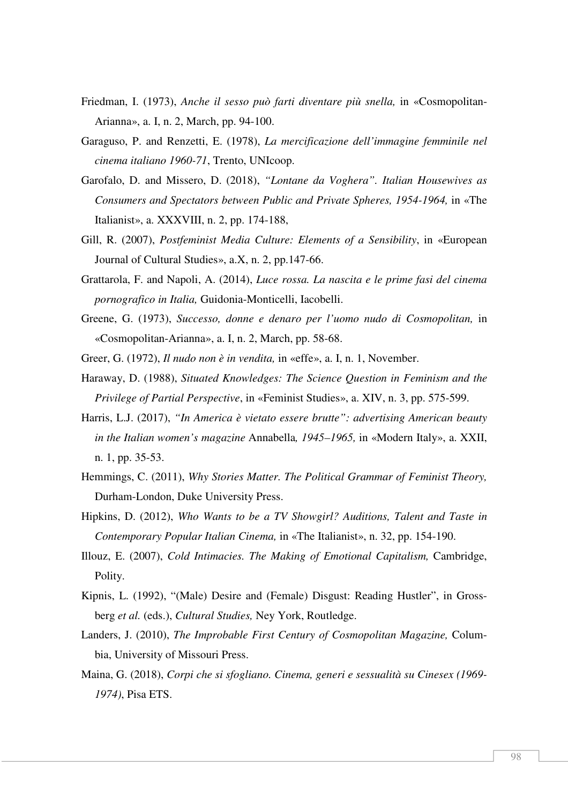- Friedman, I. (1973), *Anche il sesso può farti diventare più snella,* in «Cosmopolitan-Arianna», a. I, n. 2, March, pp. 94-100.
- Garaguso, P. and Renzetti, E. (1978), *La mercificazione dell'immagine femminile nel cinema italiano 1960-71*, Trento, UNIcoop.
- Garofalo, D. and Missero, D. (2018), *"Lontane da Voghera". Italian Housewives as Consumers and Spectators between Public and Private Spheres, 1954-1964,* in «The Italianist», a. XXXVIII, n. 2, pp. 174-188,
- Gill, R. (2007), *Postfeminist Media Culture: Elements of a Sensibility*, in «European Journal of Cultural Studies», a.X, n. 2, pp.147-66.
- Grattarola, F. and Napoli, A. (2014), *Luce rossa. La nascita e le prime fasi del cinema pornografico in Italia,* Guidonia-Monticelli, Iacobelli.
- Greene, G. (1973), *Successo, donne e denaro per l'uomo nudo di Cosmopolitan,* in «Cosmopolitan-Arianna», a. I, n. 2, March, pp. 58-68.
- Greer, G. (1972), *Il nudo non è in vendita,* in «effe», a. I, n. 1, November.
- Haraway, D. (1988), *Situated Knowledges: The Science Question in Feminism and the Privilege of Partial Perspective*, in «Feminist Studies», a. XIV, n. 3, pp. 575-599.
- Harris, L.J. (2017), *"In America è vietato essere brutte": advertising American beauty in the Italian women's magazine* Annabella*, 1945–1965,* in «Modern Italy», a. XXII, n. 1, pp. 35-53.
- Hemmings, C. (2011), *Why Stories Matter. The Political Grammar of Feminist Theory,*  Durham-London, Duke University Press.
- Hipkins, D. (2012), *Who Wants to be a TV Showgirl? Auditions, Talent and Taste in Contemporary Popular Italian Cinema,* in «The Italianist», n. 32, pp. 154-190.
- Illouz, E. (2007), *Cold Intimacies. The Making of Emotional Capitalism,* Cambridge, Polity.
- Kipnis, L. (1992), "(Male) Desire and (Female) Disgust: Reading Hustler", in Grossberg *et al.* (eds.), *Cultural Studies,* Ney York, Routledge.
- Landers, J. (2010), *The Improbable First Century of Cosmopolitan Magazine,* Columbia, University of Missouri Press.
- Maina, G. (2018), *Corpi che si sfogliano. Cinema, generi e sessualità su Cinesex (1969- 1974)*, Pisa ETS.